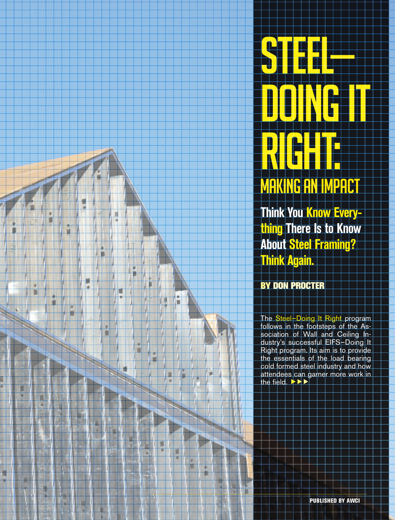

**Steel**<br>Steel – France<br>Communication

**DOING IT** 

**Think You Know Everything There Is to Know About Steel Framing? Think Again.** 

By Don Procter

۰

ï

o

ī

Π

n

۳

ŧ

۳

г ۰ p

o

Þ ۵ The Steel—Doing It Right program follows in the footsteps of the Association of Wall and Ceiling Industry's successful EIFS—Doing It Right program. Its aim is to provide the essentials of the load bearing cold formed steel industry and how attendees can garner more work in the field.  $\blacktriangleright \blacktriangleright \blacktriangleright$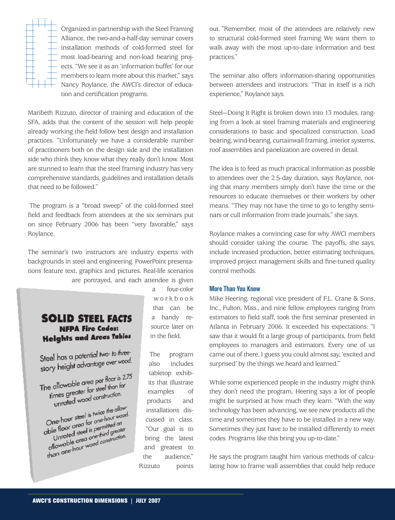

Organized in partnership with the Steel Framing Alliance, the two-and-a-half-day seminar covers installation methods of cold-formed steel for most load-bearing and non-load bearing projects. "We see it as an 'information buffet' for our members to learn more about this market," says Nancy Roylance, the AWCI's director of education and certification programs.

Maribeth Rizzuto, director of training and education of the SFA, adds that the content of the session will help people already working the field follow best design and installation practices. "Unfortunately we have a considerable number of practitioners both on the design side and the installation side who think they know what they really don't know. Most are stunned to learn that the steel framing industry has very comprehensive standards, guidelines and installation details that need to be followed."

The program is a "broad sweep" of the cold-formed steel field and feedback from attendees at the six seminars put on since February 2006 has been "very favorable," says Roylance.

The seminar's two instructors are industry experts with backgrounds in steel and engineering. PowerPoint presentations feature text, graphics and pictures. Real-life scenarios are portrayed, and each attendee is given

## **SOLID STEEL FACTS NFPA Fire Codes: Heights and Areas Tables**

Steel has a potential two- to three-<br>wood. Steel has a potential two research

The allowable area per floor is 2.75 e allowable area per nour low<br>times greater for steel than for mes greater for sied man<br>unrated wood construction.

unrated words<br>One-hour steel is twice the allow-<br>One-hour steel for one-hour wood. One-hour steel is twice the allowed.<br>
One-hour area for one-hour wood.<br>
able floor area is permitted and allowed steel is permitted greater. ne-hour species<br>le floor great is permitted and<br>Unrated steel is permitted and<br>Unrated steel one-third greate ble floor area for primitted and<br>ble floor area is permitted and<br>cllowable area one-third greater<br>cllowable area one-third construction. the nooned steel is pointing realistically<br>contained area one-third greater<br>contained area one-thour<br>than one-hour wood construction-

a four-color w o r k b o o k that can be a handy resource later on in the field.

The program also includes tabletop exhibits that illustrate examples of products and installations discussed in class. "Our goal is to bring the latest and greatest to the audience," Rizzuto points out. "Remember, most of the attendees are relatively new to structural cold-formed steel framing. We want them to walk away with the most up-to-date information and best practices."

The seminar also offers information-sharing opportunities between attendees and instructors. "That in itself is a rich experience," Roylance says.

Steel—Doing It Right is broken down into 13 modules, ranging from a look at steel framing materials and engineering considerations to basic and specialized construction. Load bearing, wind-bearing, curtainwall framing, interior systems, roof assemblies and panelization are covered in detail.

The idea is to feed as much practical information as possible to attendees over the 2.5-day duration, says Roylance, noting that many members simply don't have the time or the resources to educate themselves or their workers by other means. "They may not have the time to go to lengthy seminars or cull information from trade journals," she says.

Roylance makes a convincing case for why AWCI members should consider taking the course. The payoffs, she says, include increased production, better estimating techniques, improved project management skills and fine-tuned quality control methods.

#### **More Than You Know**

Mike Heering, regional vice president of F.L. Crane & Sons, Inc., Fulton, Miss., and nine fellow employees ranging from estimators to field staff, took the first seminar presented in Atlanta in February 2006. It exceeded his expectations: "I saw that it would fit a large group of participants, from field employees to managers and estimators. Every one of us came out of there, I guess you could almost say, 'excited and surprised' by the things we heard and learned."

While some experienced people in the industry might think they don't need the program, Heering says a lot of people might be surprised at how much they learn. "With the way technology has been advancing, we see new products all the time and sometimes they have to be installed in a new way. Sometimes they just have to be installed differently to meet codes. Programs like this bring you up-to-date."

He says the program taught him various methods of calculating how to frame wall assemblies that could help reduce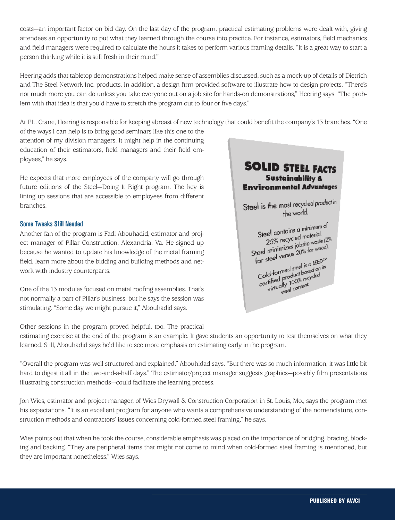costs—an important factor on bid day. On the last day of the program, practical estimating problems were dealt with, giving attendees an opportunity to put what they learned through the course into practice. For instance, estimators, field mechanics and field managers were required to calculate the hours it takes to perform various framing details. "It is a great way to start a person thinking while it is still fresh in their mind."

Heering adds that tabletop demonstrations helped make sense of assemblies discussed, such as a mock-up of details of Dietrich and The Steel Network Inc. products. In addition, a design firm provided software to illustrate how to design projects. "There's not much more you can do unless you take everyone out on a job site for hands-on demonstrations," Heering says. "The problem with that idea is that you'd have to stretch the program out to four or five days."

At F.L. Crane, Heering is responsible for keeping abreast of new technology that could benefit the company's 13 branches. "One

of the ways I can help is to bring good seminars like this one to the attention of my division managers. It might help in the continuing education of their estimators, field managers and their field employees," he says.

He expects that more employees of the company will go through future editions of the Steel—Doing It Right program. The key is lining up sessions that are accessible to employees from different branches.

#### **Some Tweaks Still Needed**

Another fan of the program is Fadi Abouhadid, estimator and project manager of Pillar Construction, Alexandria, Va. He signed up because he wanted to update his knowledge of the metal framing field, learn more about the bidding and building methods and network with industry counterparts.

One of the 13 modules focused on metal roofing assemblies. That's not normally a part of Pillar's business, but he says the session was stimulating. "Some day we might pursue it," Abouhadid says.

Other sessions in the program proved helpful, too. The practical

# **SOLID STEEL FACTS Sustainability & Environmental Advantages**

Steel is the most recycled product in the world.

Steel contains a minimum of el contains a minimal.<br>25% recycled material. Steet Comparison<br>25% recycled material:<br>Steel minimizes jobsite waste (2%<br>Steel wastes 20% for wood). Steel minimizes jobsite waster for steel versus<br>Cold-formed steel is a LEED: N<br>Cold-formed steel is a LEED: N<br>Cold-formed uct based on its or side<br>Cold-formed steel is a LEED."<br>Cold-formed steel is a LEED."<br>certified product based on its<br>certified by 1,00% recycled ld-formed sied bosed on<br>Intified product bosed on<br>Intified product bosed<br>Virtually lontent, ally 100% rec.<br>ally 100% rec.<br>steel content.

estimating exercise at the end of the program is an example. It gave students an opportunity to test themselves on what they learned. Still, Abouhadid says he'd like to see more emphasis on estimating early in the program.

"Overall the program was well structured and explained," Abouhidad says. "But there was so much information, it was little bit hard to digest it all in the two-and-a-half days." The estimator/project manager suggests graphics—possibly film presentations illustrating construction methods—could facilitate the learning process.

Jon Wies, estimator and project manager, of Wies Drywall & Construction Corporation in St. Louis, Mo., says the program met his expectations. "It is an excellent program for anyone who wants a comprehensive understanding of the nomenclature, construction methods and contractors' issues concerning cold-formed steel framing," he says.

Wies points out that when he took the course, considerable emphasis was placed on the importance of bridging, bracing, blocking and backing. "They are peripheral items that might not come to mind when cold-formed steel framing is mentioned, but they are important nonetheless," Wies says.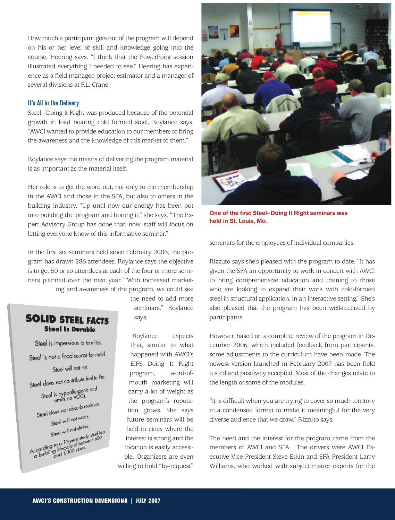How much a participant gets out of the program will depend on his or her level of skill and knowledge going into the course, Heering says. "I think that the PowerPoint session illustrated everything I needed to see." Heering has experience as a field manager, project estimator and a manager of several divisions at F.L. Crane.

#### **It's All in the Delivery**

Steel—Doing It Right was produced because of the potential growth in load bearing cold formed steel, Roylance says. "AWCI wanted to provide education to our members to bring the awareness and the knowledge of this market to them."

Roylance says the means of delivering the program material is as important as the material itself.

Her role is to get the word out, not only to the membership in the AWCI and those in the SFA, but also to others in the building industry. "Up until now our energy has been put into building the program and honing it," she says. "The Expert Advisory Group has done that; now, staff will focus on letting everyone know of this informative seminar."

In the first six seminars held since February 2006, the program has drawn 286 attendees. Roylance says the objective is to get 50 or so attendees at each of the four or more seminars planned over the next year. "With increased marketing and awareness of the program, we could see

## **SOLID STEEL FACTS Steel Is Durable**

Steel is impervious to termites. Steel is not a food source for mold. Steel will not rot. Steel does not contribute fuel to fire.  $\frac{1}{1}$  does not defined<br>Steel is hypoallergenic and<br>emits no VOCs. emits not absorb maisture.<br>Steel does not absorb maisture. Steel will not warp. Steel will not shrink<br>Steel will not shrink Steel will not shrink<br>Steel to a 10-year study, steel hose<br>According to a 10-year study, steel hose<br>a building lifecy 000 years. the need to add more seminars," Roylance says.

Roylance expects that, similar to what happened with AWCI's EIFS—Doing It Right program, word-ofmouth marketing will carry a lot of weight as the program's reputation grows. She says future seminars will be held in cities where the interest is strong and the location is easily accessible. Organizers are even willing to hold "by-request"



**One of the first Steel—Doing It Right seminars was held in St. Louis, Mo.**

seminars for the employees of individual companies.

Rizzuto says she's pleased with the program to date. "It has given the SFA an opportunity to work in concert with AWCI to bring comprehensive education and training to those who are looking to expand their work with cold-formed steel in structural application, in an interactive setting." She's also pleased that the program has been well-received by participants.

However, based on a complete review of the program in December 2006, which included feedback from participants, some adjustments to the curriculum have been made. The newest version launched in February 2007 has been field tested and positively accepted. Most of the changes relate to the length of some of the modules.

"It is difficult when you are trying to cover so much territory in a condensed format to make it meaningful for the very diverse audience that we draw," Rizzuto says.

The need and the interest for the program came from the members of AWCI and SFA. The drivers were AWCI Executive Vice President Steve Etkin and SFA President Larry Williams, who worked with subject matter experts for the